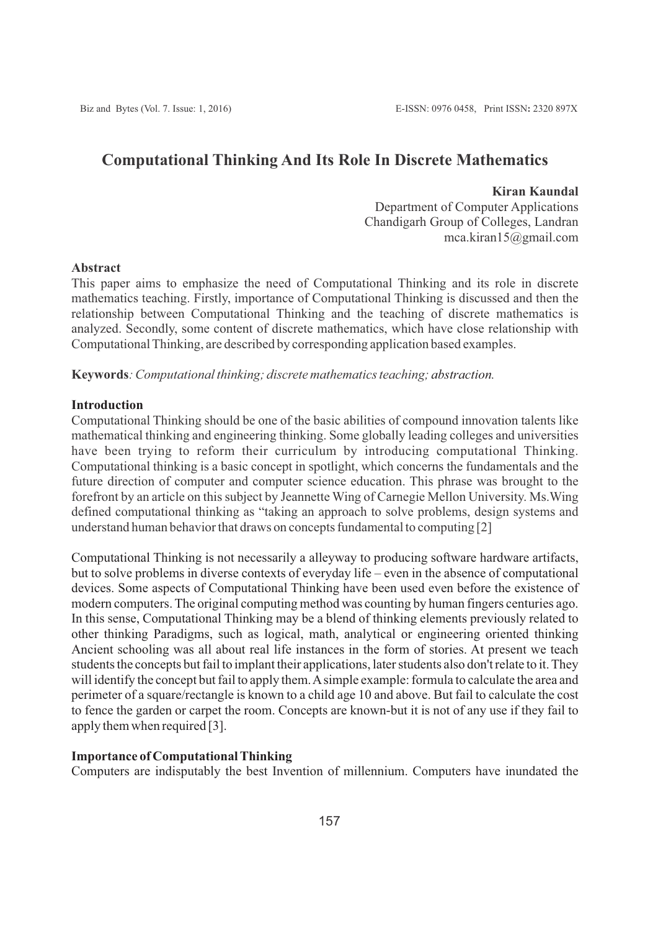# **Computational Thinking And Its Role In Discrete Mathematics**

### **Kiran Kaundal**

Department of Computer Applications Chandigarh Group of Colleges, Landran mca.kiran15@gmail.com

## **Abstract**

This paper aims to emphasize the need of Computational Thinking and its role in discrete mathematics teaching. Firstly, importance of Computational Thinking is discussed and then the relationship between Computational Thinking and the teaching of discrete mathematics is analyzed. Secondly, some content of discrete mathematics, which have close relationship with Computational Thinking, are described by corresponding application based examples.

**Keywords***: Computational thinking; discrete mathematics teaching; abstraction.*

## **Introduction**

Computational Thinking should be one of the basic abilities of compound innovation talents like mathematical thinking and engineering thinking. Some globally leading colleges and universities have been trying to reform their curriculum by introducing computational Thinking. Computational thinking is a basic concept in spotlight, which concerns the fundamentals and the future direction of computer and computer science education. This phrase was brought to the forefront by an article on this subject by Jeannette Wing of Carnegie Mellon University. Ms.Wing defined computational thinking as "taking an approach to solve problems, design systems and understand human behavior that draws on concepts fundamental to computing [2]

Computational Thinking is not necessarily a alleyway to producing software hardware artifacts, but to solve problems in diverse contexts of everyday life – even in the absence of computational devices. Some aspects of Computational Thinking have been used even before the existence of modern computers. The original computing method was counting by human fingers centuries ago. In this sense, Computational Thinking may be a blend of thinking elements previously related to other thinking Paradigms, such as logical, math, analytical or engineering oriented thinking Ancient schooling was all about real life instances in the form of stories. At present we teach students the concepts but fail to implant their applications, later students also don't relate to it. They will identify the concept but fail to apply them. Asimple example: formula to calculate the area and perimeter of a square/rectangle is known to a child age 10 and above. But fail to calculate the cost to fence the garden or carpet the room. Concepts are known-but it is not of any use if they fail to apply them when required [3].

## **Importance of Computational Thinking**

Computers are indisputably the best Invention of millennium. Computers have inundated the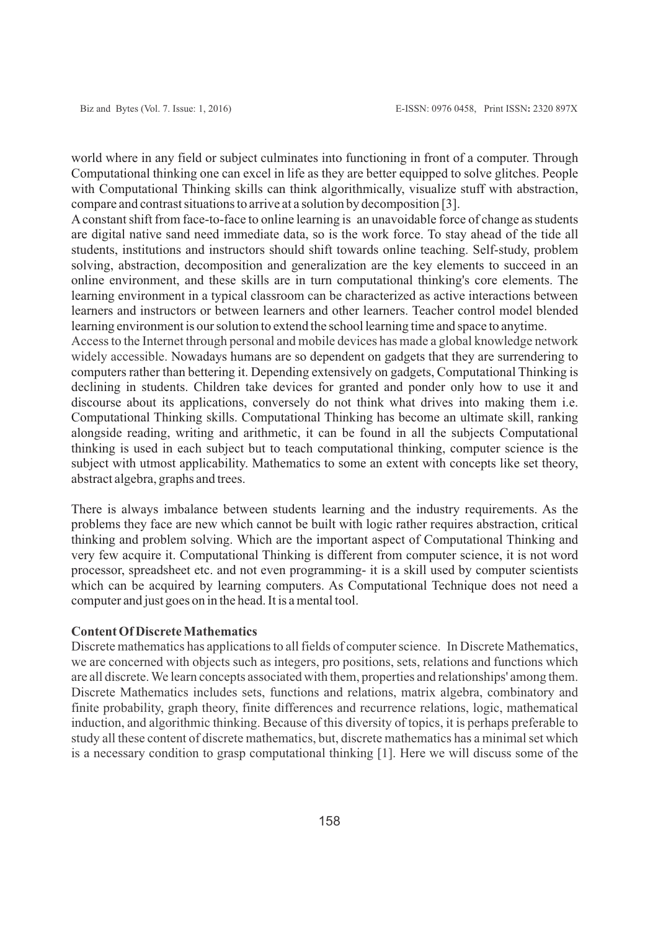world where in any field or subject culminates into functioning in front of a computer. Through Computational thinking one can excel in life as they are better equipped to solve glitches. People with Computational Thinking skills can think algorithmically, visualize stuff with abstraction, compare and contrast situations to arrive at a solution by decomposition [3].

Aconstant shift from face-to-face to online learning is an unavoidable force of change as students are digital native sand need immediate data, so is the work force. To stay ahead of the tide all students, institutions and instructors should shift towards online teaching. Self-study, problem solving, abstraction, decomposition and generalization are the key elements to succeed in an online environment, and these skills are in turn computational thinking's core elements. The learning environment in a typical classroom can be characterized as active interactions between learners and instructors or between learners and other learners. Teacher control model blended learning environment is our solution to extend the school learning time and space to anytime.

Access to the Internet through personal and mobile devices has made a global knowledge network widely accessible. Nowadays humans are so dependent on gadgets that they are surrendering to computers rather than bettering it. Depending extensively on gadgets, Computational Thinking is declining in students. Children take devices for granted and ponder only how to use it and discourse about its applications, conversely do not think what drives into making them i.e. Computational Thinking skills. Computational Thinking has become an ultimate skill, ranking alongside reading, writing and arithmetic, it can be found in all the subjects Computational thinking is used in each subject but to teach computational thinking, computer science is the subject with utmost applicability. Mathematics to some an extent with concepts like set theory, abstract algebra, graphs and trees.

There is always imbalance between students learning and the industry requirements. As the problems they face are new which cannot be built with logic rather requires abstraction, critical thinking and problem solving. Which are the important aspect of Computational Thinking and very few acquire it. Computational Thinking is different from computer science, it is not word processor, spreadsheet etc. and not even programming- it is a skill used by computer scientists which can be acquired by learning computers. As Computational Technique does not need a computer and just goes on in the head. It is a mental tool.

### **Content Of Discrete Mathematics**

Discrete mathematics has applications to all fields of computer science. In Discrete Mathematics, we are concerned with objects such as integers, pro positions, sets, relations and functions which are all discrete. We learn concepts associated with them, properties and relationships' among them. Discrete Mathematics includes sets, functions and relations, matrix algebra, combinatory and finite probability, graph theory, finite differences and recurrence relations, logic, mathematical induction, and algorithmic thinking. Because of this diversity of topics, it is perhaps preferable to study all these content of discrete mathematics, but, discrete mathematics has a minimal set which is a necessary condition to grasp computational thinking [1]. Here we will discuss some of the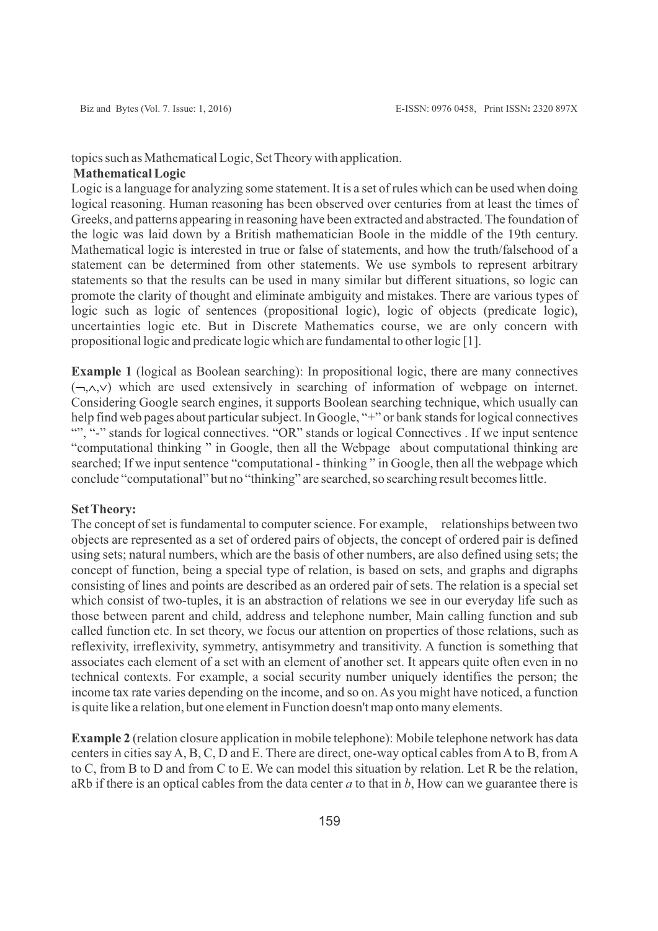## topics such as Mathematical Logic, Set Theory with application.

### **Mathematical Logic**

Logic is a language for analyzing some statement. It is a set of rules which can be used when doing logical reasoning. Human reasoning has been observed over centuries from at least the times of Greeks, and patterns appearing in reasoning have been extracted and abstracted. The foundation of the logic was laid down by a British mathematician Boole in the middle of the 19th century. Mathematical logic is interested in true or false of statements, and how the truth/falsehood of a statement can be determined from other statements. We use symbols to represent arbitrary statements so that the results can be used in many similar but different situations, so logic can promote the clarity of thought and eliminate ambiguity and mistakes. There are various types of logic such as logic of sentences (propositional logic), logic of objects (predicate logic), uncertainties logic etc. But in Discrete Mathematics course, we are only concern with propositional logic and predicate logic which are fundamental to other logic [1].

**Example 1** (logical as Boolean searching): In propositional logic, there are many connectives  $(\neg \neg \land \lor)$  which are used extensively in searching of information of webpage on internet. Considering Google search engines, it supports Boolean searching technique, which usually can help find web pages about particular subject. In Google, "+" or bank stands for logical connectives "", "-" stands for logical connectives. "OR" stands or logical Connectives . If we input sentence "computational thinking " in Google, then all the Webpage about computational thinking are searched; If we input sentence "computational - thinking " in Google, then all the webpage which conclude "computational" but no "thinking" are searched, so searching result becomes little.

### **Set Theory:**

The concept of set is fundamental to computer science. For example, relationships between two objects are represented as a set of ordered pairs of objects, the concept of ordered pair is defined using sets; natural numbers, which are the basis of other numbers, are also defined using sets; the concept of function, being a special type of relation, is based on sets, and graphs and digraphs consisting of lines and points are described as an ordered pair of sets. The relation is a special set which consist of two-tuples, it is an abstraction of relations we see in our everyday life such as those between parent and child, address and telephone number, Main calling function and sub called function etc. In set theory, we focus our attention on properties of those relations, such as reflexivity, irreflexivity, symmetry, antisymmetry and transitivity. A function is something that associates each element of a set with an element of another set. It appears quite often even in no technical contexts. For example, a social security number uniquely identifies the person; the income tax rate varies depending on the income, and so on. As you might have noticed, a function is quite like a relation, but one element in Function doesn't map onto many elements.

**Example 2** (relation closure application in mobile telephone): Mobile telephone network has data centers in cities say A, B, C, D and E. There are direct, one-way optical cables from Ato B, from A to C, from B to D and from C to E. We can model this situation by relation. Let R be the relation, aRb if there is an optical cables from the data center *a* to that in *b*, How can we guarantee there is